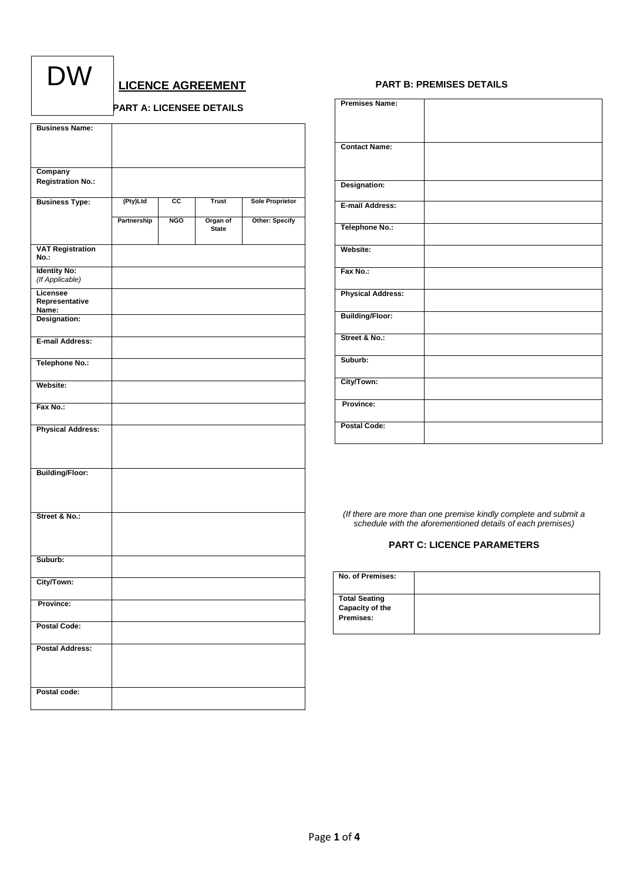| ١<br>I<br>$\boldsymbol{\mathit{\Lambda}}$<br>V |  |
|------------------------------------------------|--|
|------------------------------------------------|--|

# **LICENCE AGREEMENT**

## **PART A: LICENSEE DETAILS**

| <b>Business Name:</b>           |             |                 |              |                       |
|---------------------------------|-------------|-----------------|--------------|-----------------------|
|                                 |             |                 |              |                       |
|                                 |             |                 |              |                       |
|                                 |             |                 |              |                       |
| Company                         |             |                 |              |                       |
| <b>Registration No.:</b>        |             |                 |              |                       |
|                                 |             |                 |              |                       |
| <b>Business Type:</b>           | (Pty)Ltd    | $\overline{cc}$ | <b>Trust</b> | Sole Proprietor       |
|                                 | Partnership | <b>NGO</b>      | Organ of     | <b>Other: Specify</b> |
|                                 |             |                 | <b>State</b> |                       |
|                                 |             |                 |              |                       |
| <b>VAT Registration</b><br>No.: |             |                 |              |                       |
| <b>Identity No:</b>             |             |                 |              |                       |
| (If Applicable)                 |             |                 |              |                       |
| Licensee                        |             |                 |              |                       |
| Representative<br>Name:         |             |                 |              |                       |
| Designation:                    |             |                 |              |                       |
|                                 |             |                 |              |                       |
| E-mail Address:                 |             |                 |              |                       |
|                                 |             |                 |              |                       |
| <b>Telephone No.:</b>           |             |                 |              |                       |
|                                 |             |                 |              |                       |
| Website:                        |             |                 |              |                       |
|                                 |             |                 |              |                       |
| Fax No.:                        |             |                 |              |                       |
|                                 |             |                 |              |                       |
| <b>Physical Address:</b>        |             |                 |              |                       |
|                                 |             |                 |              |                       |
|                                 |             |                 |              |                       |
|                                 |             |                 |              |                       |
| <b>Building/Floor:</b>          |             |                 |              |                       |
|                                 |             |                 |              |                       |
|                                 |             |                 |              |                       |
| Street & No.:                   |             |                 |              |                       |
|                                 |             |                 |              |                       |
|                                 |             |                 |              |                       |
|                                 |             |                 |              |                       |
| Suburb:                         |             |                 |              |                       |
|                                 |             |                 |              |                       |
| City/Town:                      |             |                 |              |                       |
|                                 |             |                 |              |                       |
| Province:                       |             |                 |              |                       |
|                                 |             |                 |              |                       |
| <b>Postal Code:</b>             |             |                 |              |                       |
|                                 |             |                 |              |                       |
| <b>Postal Address:</b>          |             |                 |              |                       |
|                                 |             |                 |              |                       |
|                                 |             |                 |              |                       |
|                                 |             |                 |              |                       |
| Postal code:                    |             |                 |              |                       |
|                                 |             |                 |              |                       |

## **PART B: PREMISES DETAILS**

| <b>Premises Name:</b>    |  |
|--------------------------|--|
| <b>Contact Name:</b>     |  |
| Designation:             |  |
| <b>E-mail Address:</b>   |  |
| <b>Telephone No.:</b>    |  |
| Website:                 |  |
| Fax No.:                 |  |
| <b>Physical Address:</b> |  |
| <b>Building/Floor:</b>   |  |
| Street & No.:            |  |
| Suburb:                  |  |
| City/Town:               |  |
| Province:                |  |
| <b>Postal Code:</b>      |  |

*(If there are more than one premise kindly complete and submit a schedule with the aforementioned details of each premises)*

## **PART C: LICENCE PARAMETERS**

| No. of Premises:                                     |  |
|------------------------------------------------------|--|
| <b>Total Seating</b><br>Capacity of the<br>Premises: |  |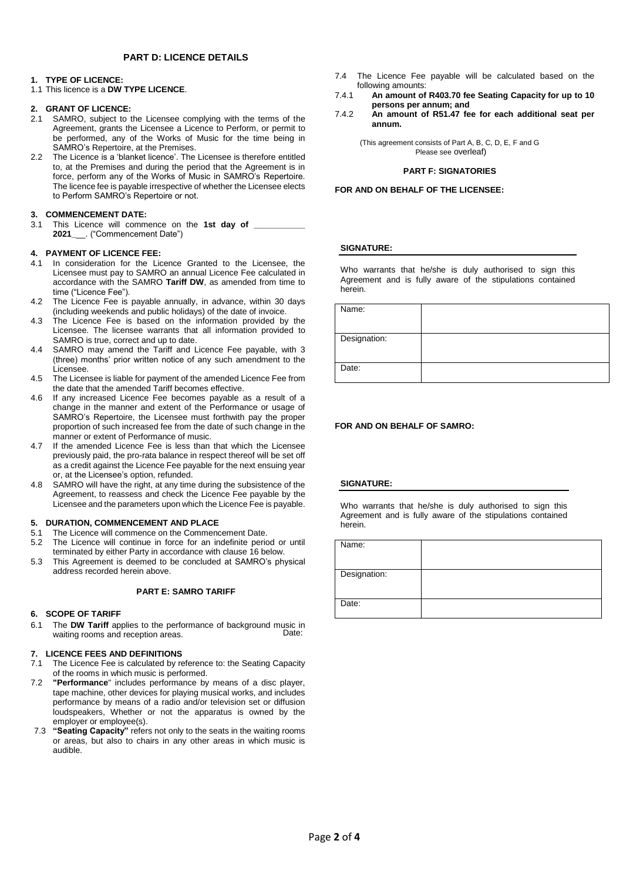## **PART D: LICENCE DETAILS**

#### **1. TYPE OF LICENCE:**

1.1 This licence is a **DW TYPE LICENCE**.

#### **2. GRANT OF LICENCE:**

- 2.1 SAMRO, subject to the Licensee complying with the terms of the Agreement, grants the Licensee a Licence to Perform, or permit to be performed, any of the Works of Music for the time being in SAMRO's Repertoire, at the Premises.
- 2.2 The Licence is a 'blanket licence'. The Licensee is therefore entitled to, at the Premises and during the period that the Agreement is in force, perform any of the Works of Music in SAMRO's Repertoire. The licence fee is payable irrespective of whether the Licensee elects to Perform SAMRO's Repertoire or not.

#### **3. COMMENCEMENT DATE:**

3.1 This Licence will commence on the 1st day of **2021\_**\_\_. ("Commencement Date")

### **4. PAYMENT OF LICENCE FEE:**

- 4.1 In consideration for the Licence Granted to the Licensee, the Licensee must pay to SAMRO an annual Licence Fee calculated in accordance with the SAMRO **Tariff DW**, as amended from time to time ("Licence Fee").
- 4.2 The Licence Fee is payable annually, in advance, within 30 days (including weekends and public holidays) of the date of invoice.
- 4.3 The Licence Fee is based on the information provided by the Licensee. The licensee warrants that all information provided to SAMRO is true, correct and up to date.
- 4.4 SAMRO may amend the Tariff and Licence Fee payable, with 3 (three) months' prior written notice of any such amendment to the Licensee.
- 4.5 The Licensee is liable for payment of the amended Licence Fee from the date that the amended Tariff becomes effective.
- 4.6 If any increased Licence Fee becomes payable as a result of a change in the manner and extent of the Performance or usage of SAMRO's Repertoire, the Licensee must forthwith pay the proper proportion of such increased fee from the date of such change in the manner or extent of Performance of music.
- 4.7 If the amended Licence Fee is less than that which the Licensee previously paid, the pro-rata balance in respect thereof will be set off as a credit against the Licence Fee payable for the next ensuing year or, at the Licensee's option, refunded.
- 4.8 SAMRO will have the right, at any time during the subsistence of the Agreement, to reassess and check the Licence Fee payable by the Licensee and the parameters upon which the Licence Fee is payable.

#### **5. DURATION, COMMENCEMENT AND PLACE**

- 5.1 The Licence will commence on the Commencement Date.
- 5.2 The Licence will continue in force for an indefinite period or until terminated by either Party in accordance with clause 16 below.
- 5.3 This Agreement is deemed to be concluded at SAMRO's physical address recorded herein above.

#### **PART E: SAMRO TARIFF**

#### **6. SCOPE OF TARIFF**

6.1 The **DW Tariff** applies to the performance of background music in waiting rooms and reception areas. Date:

#### **7. LICENCE FEES AND DEFINITIONS**

- 7.1 The Licence Fee is calculated by reference to: the Seating Capacity of the rooms in which music is performed.
- 7.2 **"Performance**" includes performance by means of a disc player, tape machine, other devices for playing musical works, and includes performance by means of a radio and/or television set or diffusion loudspeakers, Whether or not the apparatus is owned by the employer or employee(s).
- 7.3 **"Seating Capacity"** refers not only to the seats in the waiting rooms or areas, but also to chairs in any other areas in which music is audible.
- 7.4 The Licence Fee payable will be calculated based on the following amounts:
- 7.4.1 **An amount of R403.70 fee Seating Capacity for up to 10 persons per annum; and**
- 7.4.2 **An amount of R51.47 fee for each additional seat per annum.**

(This agreement consists of Part A, B, C, D, E, F and G Please see overleaf)

#### **PART F: SIGNATORIES**

**FOR AND ON BEHALF OF THE LICENSEE:** 

### **SIGNATURE:**

Who warrants that he/she is duly authorised to sign this Agreement and is fully aware of the stipulations contained herein.

| Name:        |  |
|--------------|--|
|              |  |
| Designation: |  |
|              |  |
| Date:        |  |
|              |  |

#### **FOR AND ON BEHALF OF SAMRO:**

#### **SIGNATURE:**

Who warrants that he/she is duly authorised to sign this Agreement and is fully aware of the stipulations contained herein.

| Name:        |  |
|--------------|--|
| Designation: |  |
|              |  |
| Date:        |  |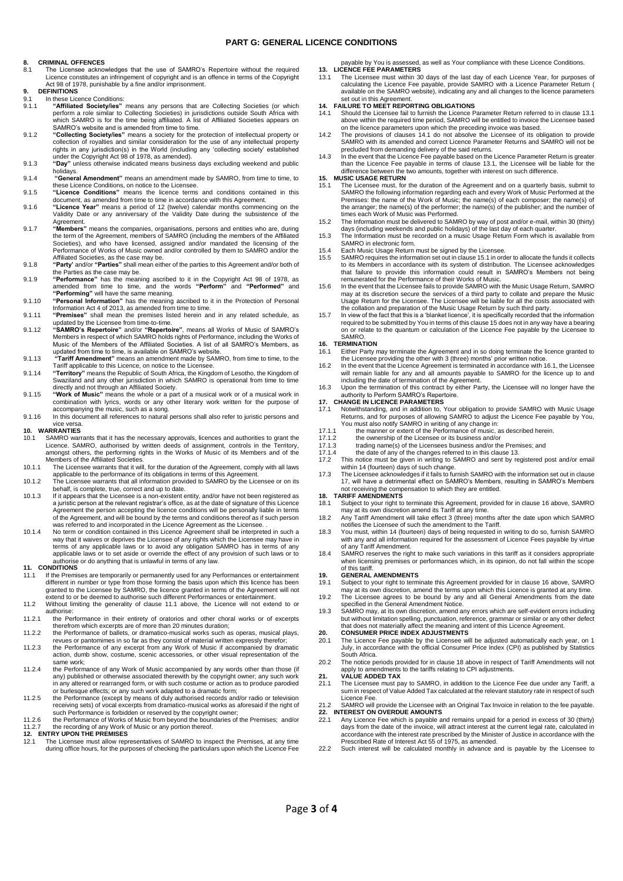#### **PART G: GENERAL LICENCE CONDITIONS**

# **8. CRIMINAL OFFENCES**

8.1 The Licensee acknowledges that the use of SAMRO's Repertoire without the required Licence constitutes an infringement of copyright and is an offence in terms of the Copyright Act 98 of 1978, punishable by a fine and/or imprisonment.

# **9. DEFINITIONS**

9.1 In these Licence Conditions:<br>9.1.1 "Affiliated Society/ies"

- 9.1.1 "Affiliated Society/ies" means any persons that are Collecting Societies (or which<br>perform a role similar to Collecting Societies) in jurisdictions outside South Africa with<br>which SAMRO is for the time being affiliat SAMRO's website and is amended from time to time.
- 9.1.2 **"Collecting Society/ies"** means a society for the protection of intellectual property or collection of royalties and similar consideration for the use of any intellectual property rights in any jurisdiction(s) in the World (including any 'collecting society' established
- under the Copyright Act 98 of 1978, as amended). 9.1.3 **"Day"** unless otherwise indicated means business days excluding weekend and public holidays.
- 9.1.4 **"General Amendment"** means an amendment made by SAMRO, from time to time, to these Licence Conditions, on notice to the Licensee. 9.1.5 **"Licence Conditions"** means the licence terms and conditions contained in this
- document, as amended from time to time in accordance with this Agreement.
- 9.1.6 **"Licence Year"** means a period of 12 (twelve) calendar months commencing on the Validity Date or any anniversary of the Validity Date during the subsistence of the Agreement.
- 9.1.7 **"Members"** means the companies, organisations, persons and entities who are, during the term of the Agreement, members of SAMRO (including the members of the Affiliated<br>Societies), and who have licensed, assigned and/or mandated the licensing of the<br>Performance of Works of Music owned and/or controlled by Affiliated Societies, as the case may be.
- 9.1.8 **"Party'** and/or **"Parties"** shall mean either of the parties to this Agreement and/or both of
- the Parties as the case may be.<br>9.1.9 **"Performance**" has the meaning ascribed to it in the Copyright Act 98 of 1978, as<br>amended from time to time, and the words **"Perform"** and **"Performed"** and<br>**"Performing"** will have t
- 9.1.10 **"Personal Information"** has the meaning ascribed to it in the Protection of Personal Information Act 4 of 2013, as amended from time to time.
- 9.1.11 **"Premises"** shall mean the premises listed herein and in any related schedule, as updated by the Licensee from time-to-time. 9.1.12 **"SAMRO's Repertoire"** and/or **"Repertoire"**, means all Works of Music of SAMRO's
- Members in respect of which SAMRO holds rights of Performance, including the Works of Music of the Members of the Affiliated Societies. A list of all SAMRO's Members, as updated from time to time, is available on SAMRO's website.
- 9.1.13 **"Tariff Amendment"** means an amendment made by SAMRO, from time to time, to the Tariff applicable to this Licence, on notice to the Licensee. 9.1.14 **"Territory"** means the Republic of South Africa, the Kingdom of Lesotho, the Kingdom of
- Swaziland and any other jurisdiction in which SAMRO is operational from time to time directly and not through an Affiliated Society.
- 9.1.15 **"Work of Music"** means the whole or a part of a musical work or of a musical work in combination with lyrics, words or any other literary work written for the purpose of
- accompanying the music, such as a song. 9.1.16 In this document all references to natural persons shall also refer to juristic persons and vice versa.

# **10. WARRANTIES**

- 10.1 SAMRO warrants that it has the necessary approvals, licences and authorities to grant the Licence. SAMRO, authorised by written deeds of assignment, controls in the Territory, amongst others, the performing rights in the Works of Music of its Members and of the Members of the Affiliated Societies.
- 10.1.1 The Licensee warrants that it will, for the duration of the Agreement, comply with all laws applicable to the performance of its obligations in terms of this Agreement. 10.1.2 The Licensee warrants that all information provided to SAMRO by the Licensee or on its
- behalf, is complete, true, correct and up to date.
- 10.1.3 If it appears that the Licensee is a non-existent entity, and/or have not been registered as a juristic person at the relevant registrar's office, as at the date of signature of this Licence Agreement the person accepting the licence conditions will be personally liable in terms of the Agreement, and will be bound by the terms and conditions thereof as if such person was referred to and incorporated in the Licence Agreement as the Licensee. . 10.1.4 No term or condition contained in this Licence Agreement shall be interpreted in such a
- way that it waives or deprives the Licensee of any rights which the Licensee may have in terms of any applicable laws or to avoid any obligation SAMRO has in terms of any applicable laws or to set aside or override the effect of any provision of such laws or to authorise or do anything that is unlawful in terms of any law.

## **11. CONDITIONS**

- If the Premises are temporarily or permanently used for any Performances or entertainment different in number or type from those forming the basis upon which this licence has been<br>granted to the Licensee by SAMRO, the licence granted in terms of the Agreement will not<br>extend to or be deemed to authorise such di
- 11.2 Without limiting the generality of clause 11.1 above, the Licence will not extend to or authorise:
- 11.2.1 the Performance in their entirety of oratorios and other choral works or of excerpts therefrom which excerpts are of more than 20 minutes duration;
- 11.2.2 the Performance of ballets, or dramatico-musical works such as operas, musical plays, revues or pantomimes in so far as they consist of material written expressly therefor;
- 11.2.3 the Performance of any excerpt from any Work of Music if accompanied by dramatic action, dumb show, costume, scenic accessories, or other visual representation of the same work;
- 11.2.4 the Performance of any Work of Music accompanied by any words other than those (if any) published or otherwise associated therewith by the copyright owner; any such work in any altered or rearranged form, or with such costume or action as to produce parodied or burlesque effects; or any such work adapted to a dramatic form;
- 11.2.5 the Performance (except by means of duly authorised records and/or radio or television receiving sets) of vocal excerpts from dramatico-musical works as aforesaid if the right of
- such Performance is forbidden or reserved by the copyright owner; 11.2.6 the Performance of Works of Music from beyond the boundaries of the Premises; and/or 11.2.7 the recording of any Work of Music or any portion thereof. **12. ENTRY UPON THE PREMISES**

12. ENTRY UPON THE PREMISES<br>12.1 The Licensee must allow representatives of SAMRO to inspect the Premises, at any time during office hours, for the purposes of checking the particulars upon which the Licence Fee payable by You is assessed, as well as Your compliance with these Licence Conditions.

**13. LICENCE FEE PARAMETERS**<br>13.1 The Licensee must within 30 days of the last day of each Licence Year, for purposes of<br>calculating the Licence Fee payable, provide SAMRO with a Licence Parameter Return ( available on the SAMRO website), indicating any and all changes to the licence parameters set out in this Agreement

## **14. FAILURE TO MEET REPORTING OBLIGATIONS**

- 14.1 Should the Licensee fail to furnish the Licence Parameter Return referred to in clause 13.1 above within the required time period, SAMRO will be entitled to invoice the Licensee based
- on the licence parameters upon which the preceding invoice was based.<br>14.2 The provisions of clauses 14.1 do not absolve the Licensee of its obligation to provide<br>SAMRO with its amended and correct Licence Parameter Return precluded from demanding delivery of the said returns.
- 14.3 In the event that the Licence Fee payable based on the Licence Parameter Return is greater<br>than the Licence Fee payable in terms of clause 13.1, the Licensee will be liable for the<br>difference between the two amounts,

# **15. MUSIC USAGE RETURN**

- 15.1 The Licensee must, for the duration of the Agreement and on a quarterly basis, submit to SAMRO the following information regarding each and every Work of Music Performed at the Premises: the name of the Work of Music; the name(s) of each composer; the name(s) of the arranger; the name(s) of the performer; the name(s) of the publisher; and the number of times each Work of Music was Performed.
- 15.2 The Information must be delivered to SAMRO by way of post and/or e-mail, within 30 (thirty) days (including weekends and public holidays) of the last day of each quarter. 15.3 The Information must be recorded on a music Usage Return Form which is available from
- SAMRO in electronic form.
- 15.4 Each Music Usage Return must be signed by the Licensee.<br>15.5 SAMPO requires the information set out in clause 15.1 in org
- 15.5 SAMRO requires the information set out in clause 15.1 in order to allocate the funds it collects to its Members in accordance with its system of distribution. The Licensee acknowledges that failure to provide this information could result in SAMRO's Members not being remunerated for the Performance of their Works of Music.
- 15.6 In the event that the Licensee fails to provide SAMRO with the Music Usage Return, SAMRO may at its discretion secure the services of a third party to collate and prepare the Music Usage Return for the Licensee. The Licensee will be liable for all the costs associated with the collation and preparation of the Music Usage Return by such third party.
- 15.7 In view of the fact that this is a 'blanket licence', it is specifically recorded that the information required to be submitted by You in terms of this clause 15 does not in any way have a bearing on or relate to the quantum or calculation of the Licence Fee payable by the Licensee to SAMRO.

# **16. TERMINATION**

- Either Party may terminate the Agreement and in so doing terminate the licence granted to the Licensee providing the other with 3 (three) months' prior written notice.
- 16.2 In the event that the Licence Agreement is terminated in accordance with 16.1, the Licensee will remain liable for any and all amounts payable to SAMRO for the licence up to and
- including the date of termination of the Agreement. 16.3 Upon the termination of this contract by either Party, the Licensee will no longer have the authority to Perform SAMRO's Repertoire.

#### **17. CHANGE IN LICENCE PARAMETERS**

- 17.1 Notwithstanding, and in addition to, Your obligation to provide SAMRO with Music Usage<br>Returns, and for purposes of allowing SAMRO to adjust the Licence Fee payable by You,<br>You must also notify SAMRO in writing of any
- 
- 
- 17.1.3 trading name(s) of the Licensees business and/or the Premises; and 17.1.4 the date of any of the changes referred to in this clause 13.
- 17.2 This notice must be given in writing to SAMRO and sent by registered post and/or email within 14 (fourteen) days of such change.
- 17.3 The Licensee acknowledges if it fails to furnish SAMRO with the information set out in clause 17, will have a detrimental effect on SAMRO's Members, resulting in SAMRO's Members

#### not receiving the compensation to which they are entitled. **18. TARIFF AMENDMENTS**

- 18.1 Subject to your right to terminate this Agreement, provided for in clause 16 above, SAMRO
- may at its own discretion amend its Tariff at any time. 18.2 Any Tariff Amendment will take effect 3 (three) months after the date upon which SAMRO
- notifies the Licensee of such the amendment to the Tariff. 18.3 You must, within 14 (fourteen) days of being requested in writing to do so, furnish SAMRO with any and all information required for the assessment of Licence Fees payable by virtue of any Tariff Amendment.
- 18.4 SAMRO reserves the right to make such variations in this tariff as it considers appropriate when licensing premises or performances which, in its opinion, do not fall within the scope of this tariff.

#### **19. GENERAL AMENDMENTS**

- 19.1 Subject to your right to terminate this Agreement provided for in clause 16 above, SAMRO may at its own discretion, amend the terms upon which this Licence is granted at any time.
- 19.2 The Licensee agrees to be bound by any and all General Amendments from the date specified in the General Amendment Notice.
- 19.3 SAMRO may, at its own discretion, amend any errors which are self-evident errors including but without limitation spelling, punctuation, reference, grammar or similar or any other defect that does not materially affect the meaning and intent of this Licence Agreement.

# **20. CONSUMER PRICE INDEX ADJUSTMENTS**

- 20.1 The Licence Fee payable by the Licensee will be adjusted automatically each year, on 1 July, in accordance with the official Consumer Price Index (CPI) as published by Statistics South Africa.
- 20.2 The notice periods provided for in clause 18 above in respect of Tariff Amendments will not apply to amendments to the tariffs relating to CPI adjustments. **21. VALUE ADDED TAX**

## 21.1 The Licensee must pay to SAMRO, in addition to the Licence Fee due under any Tariff, a

sum in respect of Value Added Tax calculated at the relevant statutory rate in respect of such Licence Fee. 21.2 SAMRO will provide the Licensee with an Original Tax Invoice in relation to the fee payable.

**22. INTEREST ON OVERDUE AMOUNTS**<br>**22. INTEREST ON OVERDUE AMOUNTS**<br>22.1 Any Licence Fos. which is

- 22.1 Any Licence Fee which is payable and remains unpaid for a period in excess of 30 (thirty) days from the date of the invoice, will attract interest at the current legal rate, calculated in accordance with the interest rate prescribed by the Minister of Justice in accordance with the Prescribed Rate of Interest Act 55 of 1975, as amended.
- 22.2 Such interest will be calculated monthly in advance and is payable by the Licensee to